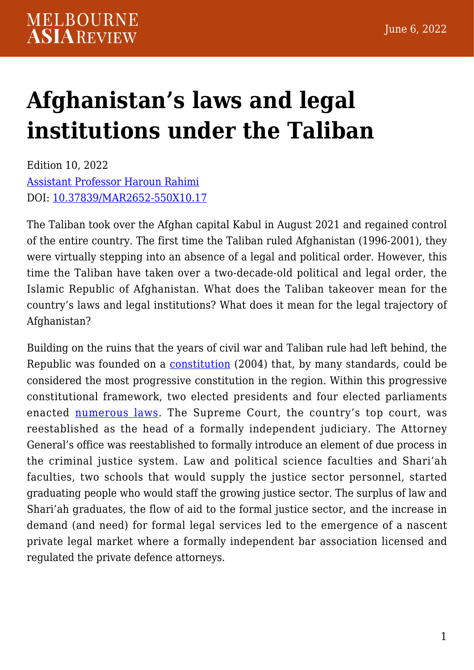# **[Afghanistan's laws and legal](https://melbourneasiareview.edu.au/afghanistans-laws-and-legal-institutions-under-the-taliban/) [institutions under the Taliban](https://melbourneasiareview.edu.au/afghanistans-laws-and-legal-institutions-under-the-taliban/)**

Edition 10, 2022 [Assistant Professor Haroun Rahimi](https://www.researchgate.net/profile/Haroun-Rahimi) DOI: 10.37839/MAR2652-550X10.17

The Taliban took over the Afghan capital Kabul in August 2021 and regained control of the entire country. The first time the Taliban ruled Afghanistan (1996-2001), they were virtually stepping into an absence of a legal and political order. However, this time the Taliban have taken over a two-decade-old political and legal order, the Islamic Republic of Afghanistan. What does the Taliban takeover mean for the country's laws and legal institutions? What does it mean for the legal trajectory of Afghanistan?

Building on the ruins that the years of civil war and Taliban rule had left behind, the Republic was founded on a [constitution](https://www.constituteproject.org/constitution/Afghanistan_2004) (2004) that, by many standards, could be considered the most progressive constitution in the region. Within this progressive constitutional framework, two elected presidents and four elected parliaments enacted [numerous laws](http://old.moj.gov.af/Content/files/Pages/OfficialGazetteIndex_D-header.htm). The Supreme Court, the country's top court, was reestablished as the head of a formally independent judiciary. The Attorney General's office was reestablished to formally introduce an element of due process in the criminal justice system. Law and political science faculties and Shari'ah faculties, two schools that would supply the justice sector personnel, started graduating people who would staff the growing justice sector. The surplus of law and Shari'ah graduates, the flow of aid to the formal justice sector, and the increase in demand (and need) for formal legal services led to the emergence of a nascent private legal market where a formally independent bar association licensed and regulated the private defence attorneys.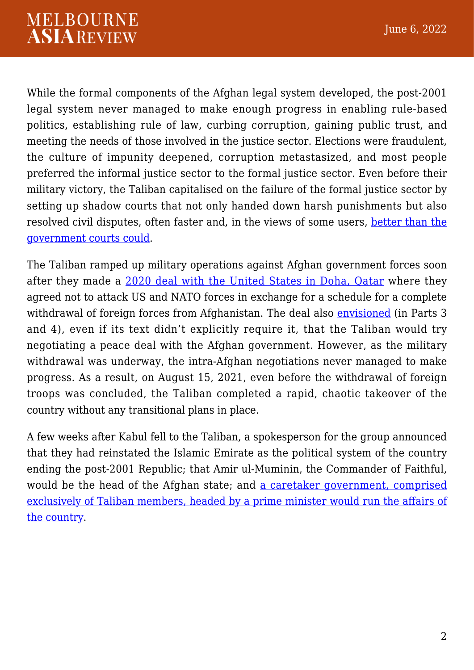While the formal components of the Afghan legal system developed, the post-2001 legal system never managed to make enough progress in enabling rule-based politics, establishing rule of law, curbing corruption, gaining public trust, and meeting the needs of those involved in the justice sector. Elections were fraudulent, the culture of impunity deepened, corruption metastasized, and most people preferred the informal justice sector to the formal justice sector. Even before their military victory, the Taliban capitalised on the failure of the formal justice sector by setting up shadow courts that not only handed down harsh punishments but also resolved civil disputes, often faster and, in the views of some users, [better than the](https://items.ssrc.org/insights/how-the-taliban-justice-system-contributed-to-their-victory-in-afghanistan/) [government courts could](https://items.ssrc.org/insights/how-the-taliban-justice-system-contributed-to-their-victory-in-afghanistan/).

The Taliban ramped up military operations against Afghan government forces soon after they made a [2020 deal with the United States in Doha, Qatar](https://www.state.gov/wp-content/uploads/2020/02/Agreement-For-Bringing-Peace-to-Afghanistan-02.29.20.pdf) where they agreed not to attack US and NATO forces in exchange for a schedule for a complete withdrawal of foreign forces from Afghanistan. The deal also [envisioned](https://www.state.gov/wp-content/uploads/2020/02/Agreement-For-Bringing-Peace-to-Afghanistan-02.29.20.pdf) (in Parts 3 and 4), even if its text didn't explicitly require it, that the Taliban would try negotiating a peace deal with the Afghan government. However, as the military withdrawal was underway, the intra-Afghan negotiations never managed to make progress. As a result, on August 15, 2021, even before the withdrawal of foreign troops was concluded, the Taliban completed a rapid, chaotic takeover of the country without any transitional plans in place.

A few weeks after Kabul fell to the Taliban, a spokesperson for the group announced that they had reinstated the Islamic Emirate as the political system of the country ending the post-2001 Republic; that Amir ul-Muminin, the Commander of Faithful, would be the head of the Afghan state; and [a caretaker government, comprised](https://thediplomat.com/2021/09/taliban-caretaker-government-good-for-internal-cohesion-bad-for-governance/) [exclusively of Taliban members, headed by a prime minister would run the affairs of](https://thediplomat.com/2021/09/taliban-caretaker-government-good-for-internal-cohesion-bad-for-governance/) [the country.](https://thediplomat.com/2021/09/taliban-caretaker-government-good-for-internal-cohesion-bad-for-governance/)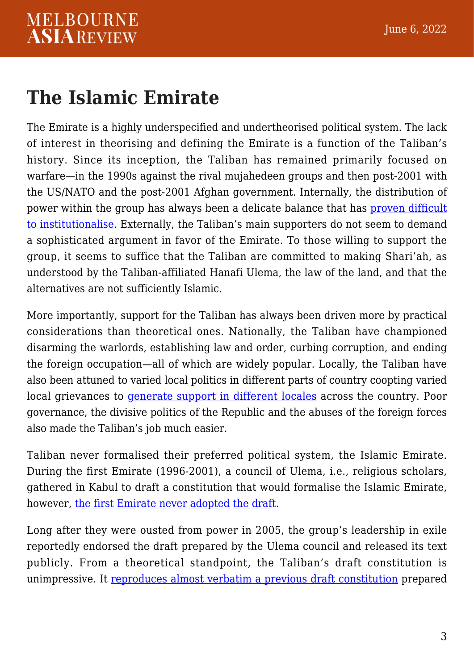#### **The Islamic Emirate**

The Emirate is a highly underspecified and undertheorised political system. The lack of interest in theorising and defining the Emirate is a function of the Taliban's history. Since its inception, the Taliban has remained primarily focused on warfare—in the 1990s against the rival mujahedeen groups and then post-2001 with the US/NATO and the post-2001 Afghan government. Internally, the distribution of power within the group has always been a delicate balance that has [proven difficult](https://ctc.usma.edu/an-assessment-of-taliban-rule-at-three-months/) [to institutionalise](https://ctc.usma.edu/an-assessment-of-taliban-rule-at-three-months/). Externally, the Taliban's main supporters do not seem to demand a sophisticated argument in favor of the Emirate. To those willing to support the group, it seems to suffice that the Taliban are committed to making Shari'ah, as understood by the Taliban-affiliated Hanafi Ulema, the law of the land, and that the alternatives are not sufficiently Islamic.

More importantly, support for the Taliban has always been driven more by practical considerations than theoretical ones. Nationally, the Taliban have championed disarming the warlords, establishing law and order, curbing corruption, and ending the foreign occupation—all of which are widely popular. Locally, the Taliban have also been attuned to varied local politics in different parts of country coopting varied local grievances to [generate support in different locales](https://www.afghanistan-analysts.org/en/reports/war-and-peace/the-domino-effect-in-paktia-and-the-fall-of-zurmat-a-case-study-of-the-taleban-surrounding-afghan-cities/) across the country. Poor governance, the divisive politics of the Republic and the abuses of the foreign forces also made the Taliban's job much easier.

Taliban never formalised their preferred political system, the Islamic Emirate. During the first Emirate (1996-2001), a council of Ulema, i.e., religious scholars, gathered in Kabul to draft a constitution that would formalise the Islamic Emirate, however, [the first Emirate never adopted the draft.](http://www.afghanpaper.com/nbody.php?id=2356)

Long after they were ousted from power in 2005, the group's leadership in exile reportedly endorsed the draft prepared by the Ulema council and released its text publicly. From a theoretical standpoint, the Taliban's draft constitution is unimpressive. It [reproduces almost verbatim a previous draft constitution](https://www.aiss.af/assets/aiss_publication/Reckoning_with_Islamist_Politics.pdf) prepared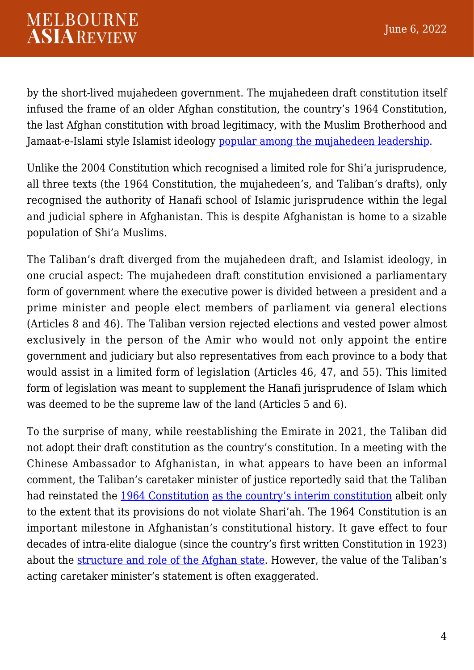by the short-lived mujahedeen government. The mujahedeen draft constitution itself infused the frame of an older Afghan constitution, the country's 1964 Constitution, the last Afghan constitution with broad legitimacy, with the Muslim Brotherhood and Jamaat-e-Islami style Islamist ideology [popular among the mujahedeen leadership.](https://www.aiss.af/assets/aiss_publication/Reckoning_with_Islamist_Politics.pdf)

Unlike the 2004 Constitution which recognised a limited role for Shi'a jurisprudence, all three texts (the 1964 Constitution, the mujahedeen's, and Taliban's drafts), only recognised the authority of Hanafi school of Islamic jurisprudence within the legal and judicial sphere in Afghanistan. This is despite Afghanistan is home to a sizable population of Shi'a Muslims.

The Taliban's draft diverged from the mujahedeen draft, and Islamist ideology, in one crucial aspect: The mujahedeen draft constitution envisioned a parliamentary form of government where the executive power is divided between a president and a prime minister and people elect members of parliament via general elections (Articles 8 and 46). The Taliban version rejected elections and vested power almost exclusively in the person of the Amir who would not only appoint the entire government and judiciary but also representatives from each province to a body that would assist in a limited form of legislation (Articles 46, 47, and 55). This limited form of legislation was meant to supplement the Hanafi jurisprudence of Islam which was deemed to be the supreme law of the land (Articles 5 and 6).

To the surprise of many, while reestablishing the Emirate in 2021, the Taliban did not adopt their draft constitution as the country's constitution. In a meeting with the Chinese Ambassador to Afghanistan, in what appears to have been an informal comment, the Taliban's caretaker minister of justice reportedly said that the Taliban had reinstated the [1964 Constitution](http://old.moj.gov.af/Content/files/ConstitutionsAfg.pdf) [as the country's interim constitution](https://www.voanews.com/a/taliban-say-they-will-use-parts-of-monarchy-constitution-to-run-afghanistan-for-now/6248880.html) albeit only to the extent that its provisions do not violate Shari'ah. The 1964 Constitution is an important milestone in Afghanistan's constitutional history. It gave effect to four decades of intra-elite dialogue (since the country's first written Constitution in 1923) about the [structure and role of the Afghan state.](https://www.aiss.af/assets/aiss_publication/Reckoning_with_Islamist_Politics.pdf) However, the value of the Taliban's acting caretaker minister's statement is often exaggerated.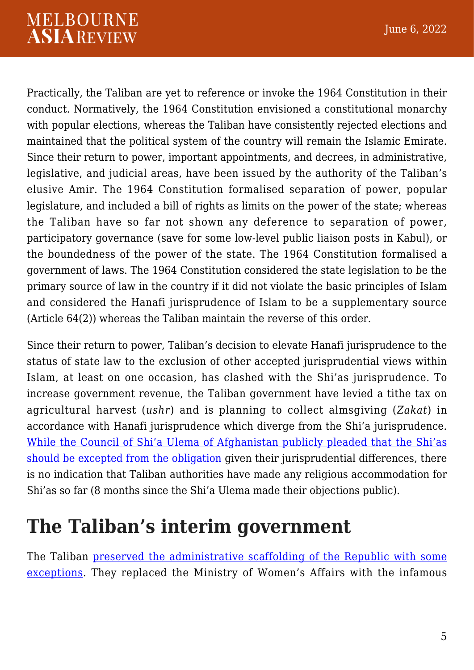#### **MELBOURNE ASIAREVIEW**

Practically, the Taliban are yet to reference or invoke the 1964 Constitution in their conduct. Normatively, the 1964 Constitution envisioned a constitutional monarchy with popular elections, whereas the Taliban have consistently rejected elections and maintained that the political system of the country will remain the Islamic Emirate. Since their return to power, important appointments, and decrees, in administrative, legislative, and judicial areas, have been issued by the authority of the Taliban's elusive Amir. The 1964 Constitution formalised separation of power, popular legislature, and included a bill of rights as limits on the power of the state; whereas the Taliban have so far not shown any deference to separation of power, participatory governance (save for some low-level public liaison posts in Kabul), or the boundedness of the power of the state. The 1964 Constitution formalised a government of laws. The 1964 Constitution considered the state legislation to be the primary source of law in the country if it did not violate the basic principles of Islam and considered the Hanafi jurisprudence of Islam to be a supplementary source (Article 64(2)) whereas the Taliban maintain the reverse of this order.

Since their return to power, Taliban's decision to elevate Hanafi jurisprudence to the status of state law to the exclusion of other accepted jurisprudential views within Islam, at least on one occasion, has clashed with the Shi'as jurisprudence. To increase government revenue, the Taliban government have levied a tithe tax on agricultural harvest (*ushr*) and is planning to collect almsgiving (*Zakat*) in accordance with Hanafi jurisprudence which diverge from the Shi'a jurisprudence. [While the Council of Shi'a Ulema of Afghanistan publicly pleaded that the Shi'as](https://www.etilaatroz.com/131168/taliban-should-not-collect-zakat-from-the-shiite-people/) [should be excepted from the obligation](https://www.etilaatroz.com/131168/taliban-should-not-collect-zakat-from-the-shiite-people/) given their jurisprudential differences, there is no indication that Taliban authorities have made any religious accommodation for Shi'as so far (8 months since the Shi'a Ulema made their objections public).

### **The Taliban's interim government**

The Taliban [preserved the administrative scaffolding of the Republic with some](https://ctc.usma.edu/an-assessment-of-taliban-rule-at-three-months/) [exceptions.](https://ctc.usma.edu/an-assessment-of-taliban-rule-at-three-months/) They replaced the Ministry of Women's Affairs with the infamous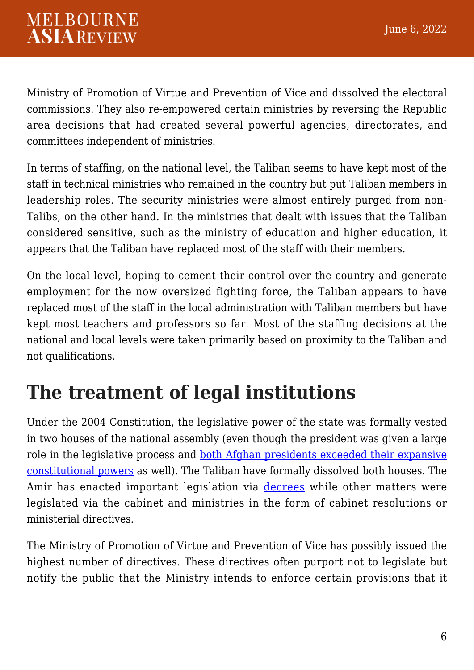#### **MELBOURNE ASIAREVIEW**

Ministry of Promotion of Virtue and Prevention of Vice and dissolved the electoral commissions. They also re-empowered certain ministries by reversing the Republic area decisions that had created several powerful agencies, directorates, and committees independent of ministries.

In terms of staffing, on the national level, the Taliban seems to have kept most of the staff in technical ministries who remained in the country but put Taliban members in leadership roles. The security ministries were almost entirely purged from non-Talibs, on the other hand. In the ministries that dealt with issues that the Taliban considered sensitive, such as the ministry of education and higher education, it appears that the Taliban have replaced most of the staff with their members.

On the local level, hoping to cement their control over the country and generate employment for the now oversized fighting force, the Taliban appears to have replaced most of the staff in the local administration with Taliban members but have kept most teachers and professors so far. Most of the staffing decisions at the national and local levels were taken primarily based on proximity to the Taliban and not qualifications.

## **The treatment of legal institutions**

Under the 2004 Constitution, the legislative power of the state was formally vested in two houses of the national assembly (even though the president was given a large role in the legislative process and [both Afghan presidents exceeded their expansive](https://www.afghanistan-analysts.org/en/reports/political-landscape/the-stagnation-of-afghanistans-state-institutions-case-studies-of-the-supreme-court-senate-provincial-councils-and-the-constitutional-oversight-commission/) [constitutional powers](https://www.afghanistan-analysts.org/en/reports/political-landscape/the-stagnation-of-afghanistans-state-institutions-case-studies-of-the-supreme-court-senate-provincial-councils-and-the-constitutional-oversight-commission/) as well). The Taliban have formally dissolved both houses. The Amir has enacted important legislation via [decrees](https://www.wsj.com/articles/afghanistans-taliban-ban-poppy-cultivation-11649003599) while other matters were legislated via the cabinet and ministries in the form of cabinet resolutions or ministerial directives.

The Ministry of Promotion of Virtue and Prevention of Vice has possibly issued the highest number of directives. These directives often purport not to legislate but notify the public that the Ministry intends to enforce certain provisions that it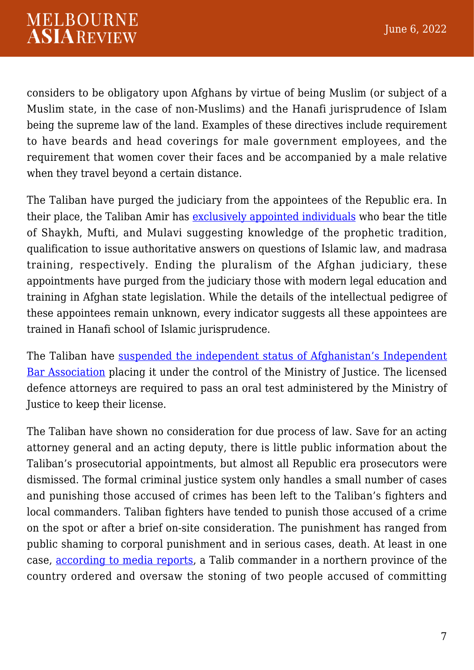considers to be obligatory upon Afghans by virtue of being Muslim (or subject of a Muslim state, in the case of non-Muslims) and the Hanafi jurisprudence of Islam being the supreme law of the land. Examples of these directives include requirement to have beards and head coverings for male government employees, and the requirement that women cover their faces and be accompanied by a male relative when they travel beyond a certain distance.

The Taliban have purged the judiciary from the appointees of the Republic era. In their place, the Taliban Amir has [exclusively appointed individuals](https://tolonews.com/afghanistan-175920) who bear the title of Shaykh, Mufti, and Mulavi suggesting knowledge of the prophetic tradition, qualification to issue authoritative answers on questions of Islamic law, and madrasa training, respectively. Ending the pluralism of the Afghan judiciary, these appointments have purged from the judiciary those with modern legal education and training in Afghan state legislation. While the details of the intellectual pedigree of these appointees remain unknown, every indicator suggests all these appointees are trained in Hanafi school of Islamic jurisprudence.

The Taliban have [suspended the independent status of Afghanistan's Independent](https://www.jurist.org/news/2021/11/afghanistan-bar-association-head-pleads-for-international-help-as-armed-taliban-take-over-offices-displace-leadership/) [Bar Association](https://www.jurist.org/news/2021/11/afghanistan-bar-association-head-pleads-for-international-help-as-armed-taliban-take-over-offices-displace-leadership/) placing it under the control of the Ministry of Justice. The licensed defence attorneys are required to pass an oral test administered by the Ministry of Justice to keep their license.

The Taliban have shown no consideration for due process of law. Save for an acting attorney general and an acting deputy, there is little public information about the Taliban's prosecutorial appointments, but almost all Republic era prosecutors were dismissed. The formal criminal justice system only handles a small number of cases and punishing those accused of crimes has been left to the Taliban's fighters and local commanders. Taliban fighters have tended to punish those accused of a crime on the spot or after a brief on-site consideration. The punishment has ranged from public shaming to corporal punishment and in serious cases, death. At least in one case, [according to media reports,](https://rukhshana.com/en/a-woman-and-a-man-were-stoned-to-death-in-badakhshan) a Talib commander in a northern province of the country ordered and oversaw the stoning of two people accused of committing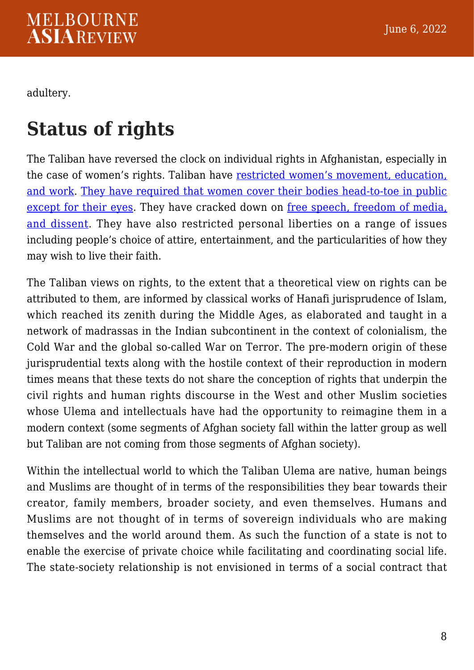adultery.

### **Status of rights**

The Taliban have reversed the clock on individual rights in Afghanistan, especially in the case of women's rights. Taliban have [restricted women's movement, education,](https://www.hrw.org/news/2022/01/18/afghanistan-taliban-deprive-women-livelihoods-identity) [and work](https://www.hrw.org/news/2022/01/18/afghanistan-taliban-deprive-women-livelihoods-identity). [They have required that women cover their bodies head-to-toe in public](https://www.npr.org/2022/05/07/1097382550/taliban-women-burqa-decree) [except for their eyes](https://www.npr.org/2022/05/07/1097382550/taliban-women-burqa-decree). They have cracked down on [free speech, freedom of media,](https://www.hrw.org/news/2022/03/07/afghanistan-taliban-threatening-provincial-media) [and dissent](https://www.hrw.org/news/2022/03/07/afghanistan-taliban-threatening-provincial-media). They have also restricted personal liberties on a range of issues including people's choice of attire, entertainment, and the particularities of how they may wish to live their faith.

The Taliban views on rights, to the extent that a theoretical view on rights can be attributed to them, are informed by classical works of Hanafi jurisprudence of Islam, which reached its zenith during the Middle Ages, as elaborated and taught in a network of madrassas in the Indian subcontinent in the context of colonialism, the Cold War and the global so-called War on Terror. The pre-modern origin of these jurisprudential texts along with the hostile context of their reproduction in modern times means that these texts do not share the conception of rights that underpin the civil rights and human rights discourse in the West and other Muslim societies whose Ulema and intellectuals have had the opportunity to reimagine them in a modern context (some segments of Afghan society fall within the latter group as well but Taliban are not coming from those segments of Afghan society).

Within the intellectual world to which the Taliban Ulema are native, human beings and Muslims are thought of in terms of the responsibilities they bear towards their creator, family members, broader society, and even themselves. Humans and Muslims are not thought of in terms of sovereign individuals who are making themselves and the world around them. As such the function of a state is not to enable the exercise of private choice while facilitating and coordinating social life. The state-society relationship is not envisioned in terms of a social contract that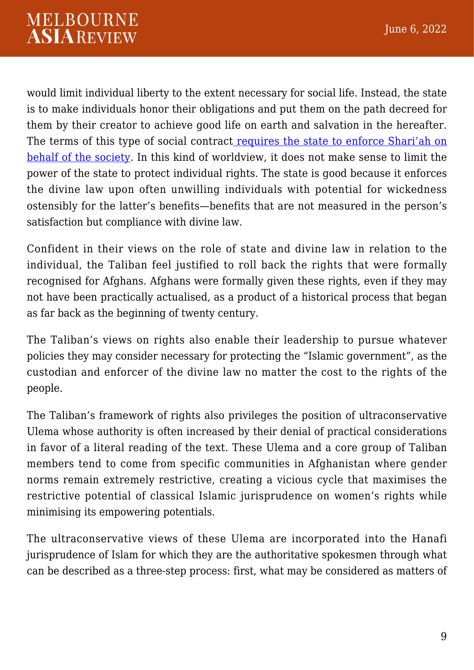would limit individual liberty to the extent necessary for social life. Instead, the state is to make individuals honor their obligations and put them on the path decreed for them by their creator to achieve good life on earth and salvation in the hereafter. The terms of this type of social contract [requires the state to enforce Shari'ah on](https://www.usip.org/publications/2022/02/afghan-taliban-views-legitimate-islamic-governance) [behalf of the society.](https://www.usip.org/publications/2022/02/afghan-taliban-views-legitimate-islamic-governance) In this kind of worldview, it does not make sense to limit the power of the state to protect individual rights. The state is good because it enforces the divine law upon often unwilling individuals with potential for wickedness ostensibly for the latter's benefits—benefits that are not measured in the person's satisfaction but compliance with divine law.

Confident in their views on the role of state and divine law in relation to the individual, the Taliban feel justified to roll back the rights that were formally recognised for Afghans. Afghans were formally given these rights, even if they may not have been practically actualised, as a product of a historical process that began as far back as the beginning of twenty century.

The Taliban's views on rights also enable their leadership to pursue whatever policies they may consider necessary for protecting the "Islamic government", as the custodian and enforcer of the divine law no matter the cost to the rights of the people.

The Taliban's framework of rights also privileges the position of ultraconservative Ulema whose authority is often increased by their denial of practical considerations in favor of a literal reading of the text. These Ulema and a core group of Taliban members tend to come from specific communities in Afghanistan where gender norms remain extremely restrictive, creating a vicious cycle that maximises the restrictive potential of classical Islamic jurisprudence on women's rights while minimising its empowering potentials.

The ultraconservative views of these Ulema are incorporated into the Hanafi jurisprudence of Islam for which they are the authoritative spokesmen through what can be described as a three-step process: first, what may be considered as matters of